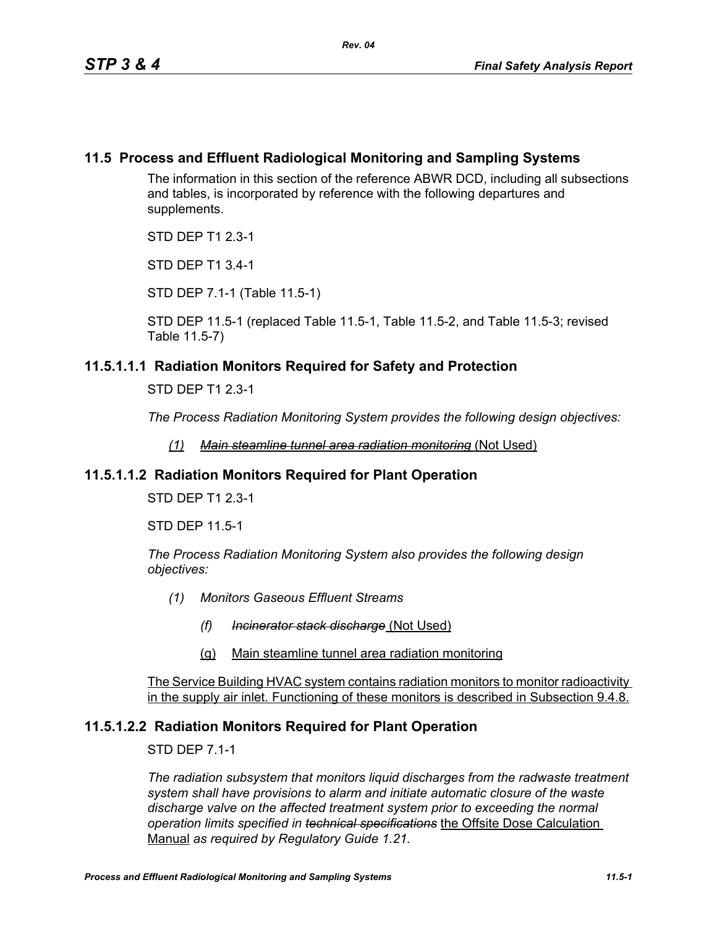# **11.5 Process and Effluent Radiological Monitoring and Sampling Systems**

The information in this section of the reference ABWR DCD, including all subsections and tables, is incorporated by reference with the following departures and supplements.

STD DEP T1 2.3-1

STD DEP T1 3.4-1

STD DEP 7.1-1 (Table 11.5-1)

STD DEP 11.5-1 (replaced Table 11.5-1, Table 11.5-2, and Table 11.5-3; revised Table 11.5-7)

# **11.5.1.1.1 Radiation Monitors Required for Safety and Protection**

STD DEP T1 2.3-1

*The Process Radiation Monitoring System provides the following design objectives:*

*(1) Main steamline tunnel area radiation monitoring* (Not Used)

# **11.5.1.1.2 Radiation Monitors Required for Plant Operation**

STD DEP T1 2.3-1

STD DEP 11.5-1

*The Process Radiation Monitoring System also provides the following design objectives:*

- *(1) Monitors Gaseous Effluent Streams*
	- *(f) Incinerator stack discharge* (Not Used)
	- (g) Main steamline tunnel area radiation monitoring

The Service Building HVAC system contains radiation monitors to monitor radioactivity in the supply air inlet. Functioning of these monitors is described in Subsection 9.4.8.

# **11.5.1.2.2 Radiation Monitors Required for Plant Operation**

STD DEP 7.1-1

*The radiation subsystem that monitors liquid discharges from the radwaste treatment system shall have provisions to alarm and initiate automatic closure of the waste discharge valve on the affected treatment system prior to exceeding the normal operation limits specified in technical specifications* the Offsite Dose Calculation Manual *as required by Regulatory Guide 1.21.*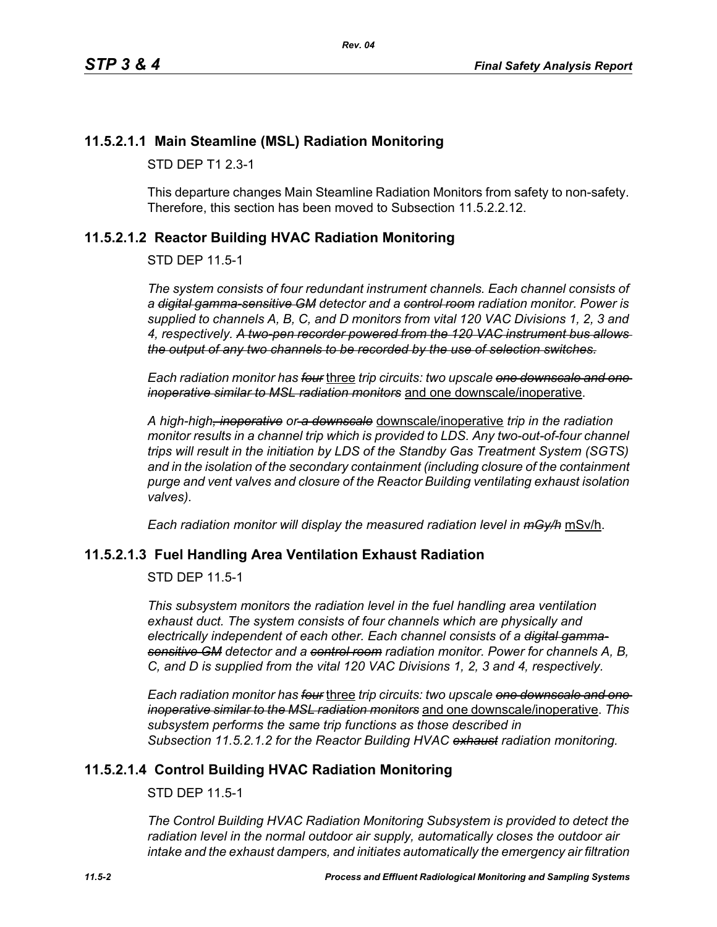# **11.5.2.1.1 Main Steamline (MSL) Radiation Monitoring**

STD DEP T1 2.3-1

This departure changes Main Steamline Radiation Monitors from safety to non-safety. Therefore, this section has been moved to Subsection 11.5.2.2.12.

# <span id="page-1-0"></span>**11.5.2.1.2 Reactor Building HVAC Radiation Monitoring**

STD DEP 11.5-1

*The system consists of four redundant instrument channels. Each channel consists of a digital gamma-sensitive GM detector and a control room radiation monitor. Power is supplied to channels A, B, C, and D monitors from vital 120 VAC Divisions 1, 2, 3 and 4, respectively. A two-pen recorder powered from the 120 VAC instrument bus allows the output of any two channels to be recorded by the use of selection switches.*

*Each radiation monitor has four* three *trip circuits: two upscale one downscale and one inoperative similar to MSL radiation monitors* and one downscale/inoperative.

*A high-high, inoperative or a downscale* downscale/inoperative *trip in the radiation monitor results in a channel trip which is provided to LDS. Any two-out-of-four channel trips will result in the initiation by LDS of the Standby Gas Treatment System (SGTS) and in the isolation of the secondary containment (including closure of the containment purge and vent valves and closure of the Reactor Building ventilating exhaust isolation valves).*

*Each radiation monitor will display the measured radiation level in mGy/h* mSv/h.

# **11.5.2.1.3 Fuel Handling Area Ventilation Exhaust Radiation**

STD DEP 11.5-1

*This subsystem monitors the radiation level in the fuel handling area ventilation exhaust duct. The system consists of four channels which are physically and electrically independent of each other. Each channel consists of a digital gammasensitive GM detector and a control room radiation monitor. Power for channels A, B, C, and D is supplied from the vital 120 VAC Divisions 1, 2, 3 and 4, respectively.*

*Each radiation monitor has four* three *trip circuits: two upscale one downscale and one inoperative similar to the MSL radiation monitors* and one downscale/inoperative. *This subsystem performs the same trip functions as those described in Subsection [11.5.2.1.2](#page-1-0) for the Reactor Building HVAC exhaust radiation monitoring.*

# **11.5.2.1.4 Control Building HVAC Radiation Monitoring**

STD DEP 11.5-1

*The Control Building HVAC Radiation Monitoring Subsystem is provided to detect the radiation level in the normal outdoor air supply, automatically closes the outdoor air intake and the exhaust dampers, and initiates automatically the emergency air filtration*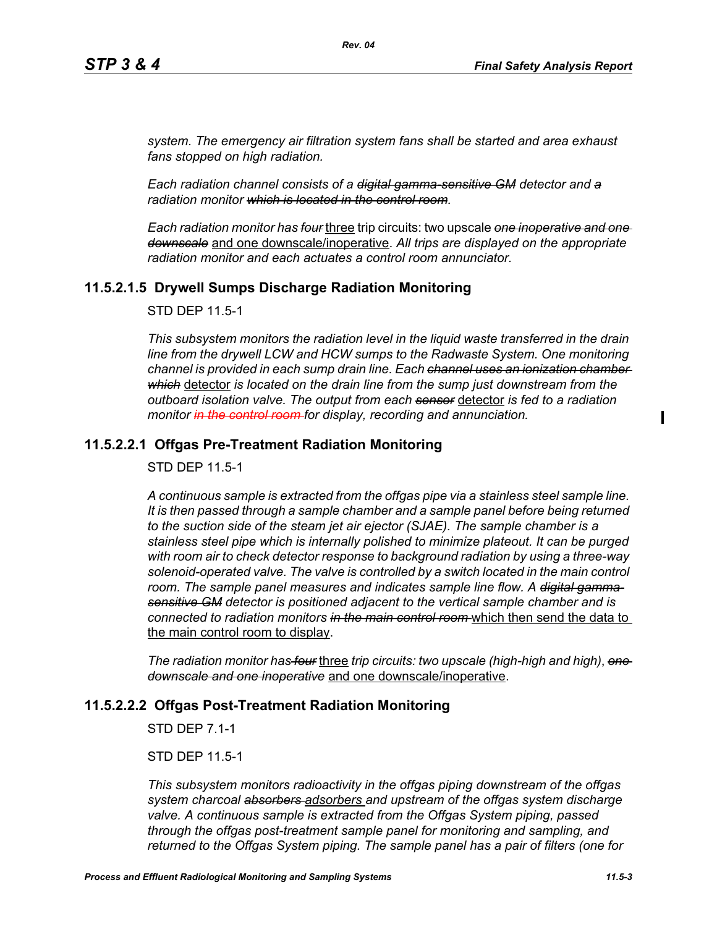*system. The emergency air filtration system fans shall be started and area exhaust fans stopped on high radiation.*

*Rev. 04*

*Each radiation channel consists of a digital gamma-sensitive GM detector and a radiation monitor which is located in the control room.*

*Each radiation monitor has four* three trip circuits: two upscale *one inoperative and one downscale* and one downscale/inoperative. *All trips are displayed on the appropriate radiation monitor and each actuates a control room annunciator.*

# **11.5.2.1.5 Drywell Sumps Discharge Radiation Monitoring**

STD DEP 11.5-1

*This subsystem monitors the radiation level in the liquid waste transferred in the drain line from the drywell LCW and HCW sumps to the Radwaste System. One monitoring channel is provided in each sump drain line. Each channel uses an ionization chamber which* detector *is located on the drain line from the sump just downstream from the outboard isolation valve. The output from each sensor* detector *is fed to a radiation monitor in the control room for display, recording and annunciation.*

## **11.5.2.2.1 Offgas Pre-Treatment Radiation Monitoring**

STD DEP 11.5-1

*A continuous sample is extracted from the offgas pipe via a stainless steel sample line. It is then passed through a sample chamber and a sample panel before being returned to the suction side of the steam jet air ejector (SJAE). The sample chamber is a stainless steel pipe which is internally polished to minimize plateout. It can be purged with room air to check detector response to background radiation by using a three-way*  solenoid-operated valve. The valve is controlled by a switch located in the main control room. The sample panel measures and indicates sample line flow. A <del>digital gamma</del>*sensitive GM detector is positioned adjacent to the vertical sample chamber and is connected to radiation monitors in the main control room* which then send the data to the main control room to display.

*The radiation monitor has four* three *trip circuits: two upscale (high-high and high)*, *one downscale and one inoperative* and one downscale/inoperative.

### **11.5.2.2.2 Offgas Post-Treatment Radiation Monitoring**

STD DEP 7.1-1

STD DEP 11.5-1

*This subsystem monitors radioactivity in the offgas piping downstream of the offgas system charcoal absorbers adsorbers and upstream of the offgas system discharge valve. A continuous sample is extracted from the Offgas System piping, passed through the offgas post-treatment sample panel for monitoring and sampling, and returned to the Offgas System piping. The sample panel has a pair of filters (one for*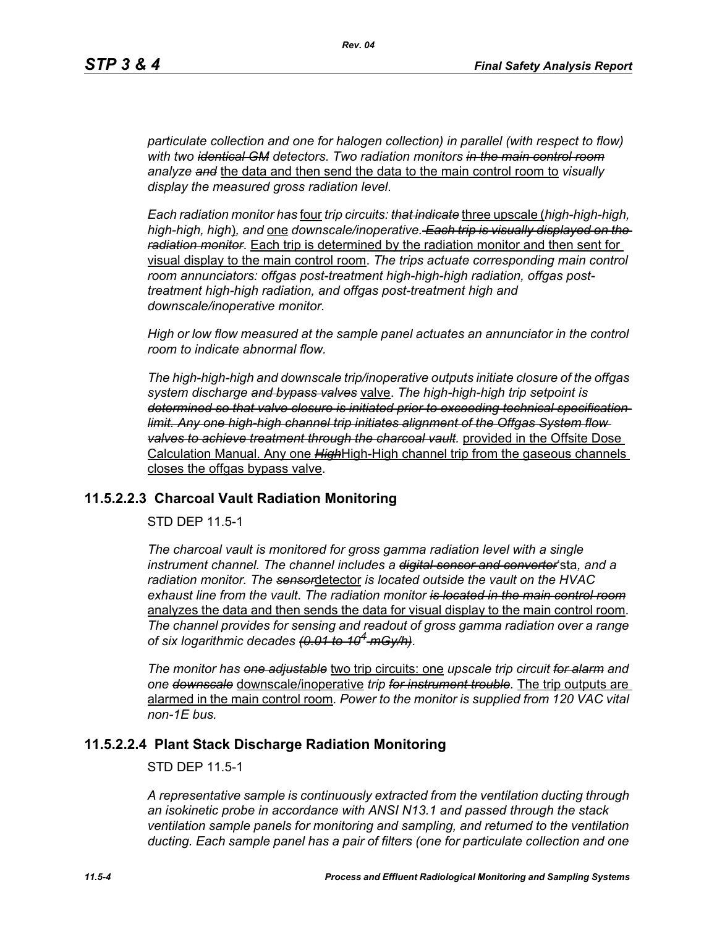*particulate collection and one for halogen collection) in parallel (with respect to flow) with two identical GM detectors. Two radiation monitors in the main control room analyze and* the data and then send the data to the main control room to *visually display the measured gross radiation level*.

*Each radiation monitor has* four *trip circuits: that indicate* three upscale (*high-high-high, high-high, high*)*, and* one *downscale/inoperative. Each trip is visually displayed on the radiation monitor*. Each trip is determined by the radiation monitor and then sent for visual display to the main control room. *The trips actuate corresponding main control room annunciators: offgas post-treatment high-high-high radiation, offgas posttreatment high-high radiation, and offgas post-treatment high and downscale/inoperative monitor.*

*High or low flow measured at the sample panel actuates an annunciator in the control room to indicate abnormal flow.*

*The high-high-high and downscale trip/inoperative outputs initiate closure of the offgas system discharge and bypass valves* valve. *The high-high-high trip setpoint is determined so that valve closure is initiated prior to exceeding technical specification limit. Any one high-high channel trip initiates alignment of the Offgas System flow valves to achieve treatment through the charcoal vault.* provided in the Offsite Dose Calculation Manual. Any one *High*High-High channel trip from the gaseous channels closes the offgas bypass valve.

## **11.5.2.2.3 Charcoal Vault Radiation Monitoring**

STD DEP 11.5-1

*The charcoal vault is monitored for gross gamma radiation level with a single instrument channel. The channel includes a digital sensor and converter*'sta*, and a radiation monitor. The sensor*detector *is located outside the vault on the HVAC exhaust line from the vault*. *The radiation monitor is located in the main control room* analyzes the data and then sends the data for visual display to the main control room. *The channel provides for sensing and readout of gross gamma radiation over a range of six logarithmic decades (0.01 to 104 mGy/h)*.

*The monitor has one adjustable* two trip circuits: one *upscale trip circuit for alarm and one downscale* downscale/inoperative *trip for instrument trouble.* The trip outputs are alarmed in the main control room*. Power to the monitor is supplied from 120 VAC vital non-1E bus.*

## **11.5.2.2.4 Plant Stack Discharge Radiation Monitoring**

STD DEP 11.5-1

*A representative sample is continuously extracted from the ventilation ducting through an isokinetic probe in accordance with ANSI N13.1 and passed through the stack ventilation sample panels for monitoring and sampling, and returned to the ventilation ducting. Each sample panel has a pair of filters (one for particulate collection and one*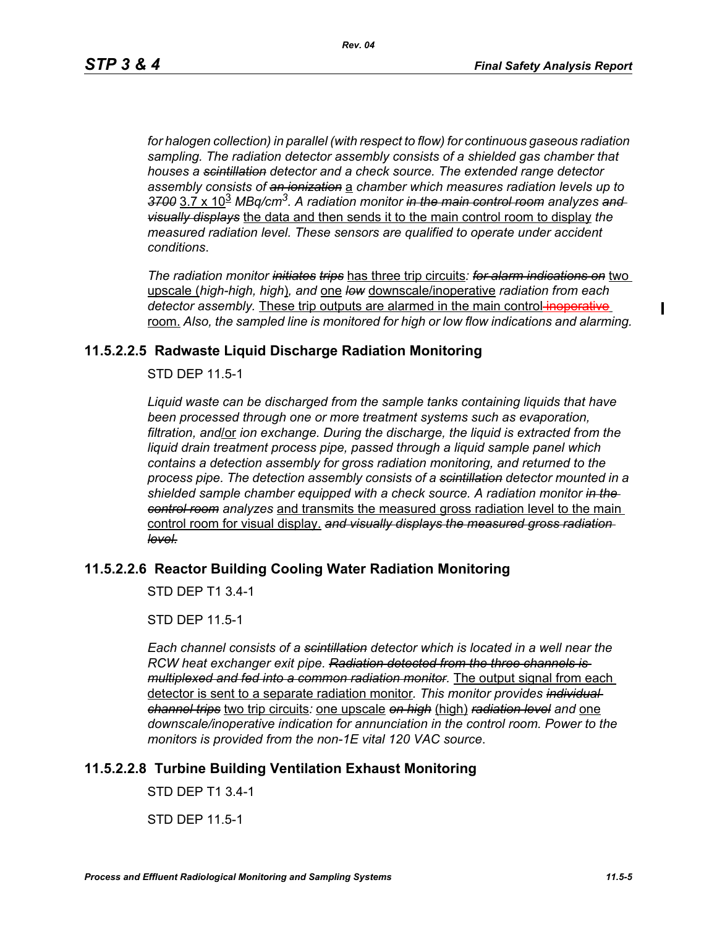*for halogen collection) in parallel (with respect to flow) for continuous gaseous radiation sampling. The radiation detector assembly consists of a shielded gas chamber that houses a scintillation detector and a check source. The extended range detector assembly consists of an ionization* a *chamber which measures radiation levels up to 3700* 3.7 x 10<sup>3</sup> *MBq/cm3. A radiation monitor in the main control room analyzes and visually displays* the data and then sends it to the main control room to display *the measured radiation level. These sensors are qualified to operate under accident conditions*.

*The radiation monitor initiates trips* has three trip circuits*: for alarm indications on* two upscale (*high-high, high*)*, and* one *low* downscale/inoperative *radiation from each detector assembly.* These trip outputs are alarmed in the main control-inoperative room. *Also, the sampled line is monitored for high or low flow indications and alarming.*

# **11.5.2.2.5 Radwaste Liquid Discharge Radiation Monitoring**

STD DEP 11.5-1

*Liquid waste can be discharged from the sample tanks containing liquids that have been processed through one or more treatment systems such as evaporation, filtration, and*/or *ion exchange. During the discharge, the liquid is extracted from the liquid drain treatment process pipe, passed through a liquid sample panel which contains a detection assembly for gross radiation monitoring, and returned to the process pipe. The detection assembly consists of a scintillation detector mounted in a shielded sample chamber equipped with a check source. A radiation monitor in the control room analyzes* and transmits the measured gross radiation level to the main control room for visual display. *and visually displays the measured gross radiation level.*

## **11.5.2.2.6 Reactor Building Cooling Water Radiation Monitoring**

STD DEP T1 3.4-1

STD DEP 11.5-1

*Each channel consists of a scintillation detector which is located in a well near the RCW heat exchanger exit pipe. Radiation detected from the three channels is multiplexed and fed into a common radiation monitor.* The output signal from each detector is sent to a separate radiation monitor*. This monitor provides individual channel trips* two trip circuits*:* one upscale *on high* (high) *radiation level and* one *downscale/inoperative indication for annunciation in the control room. Power to the monitors is provided from the non-1E vital 120 VAC source*.

# **11.5.2.2.8 Turbine Building Ventilation Exhaust Monitoring**

STD DEP T1 3.4-1

STD DEP 11.5-1

 $\blacksquare$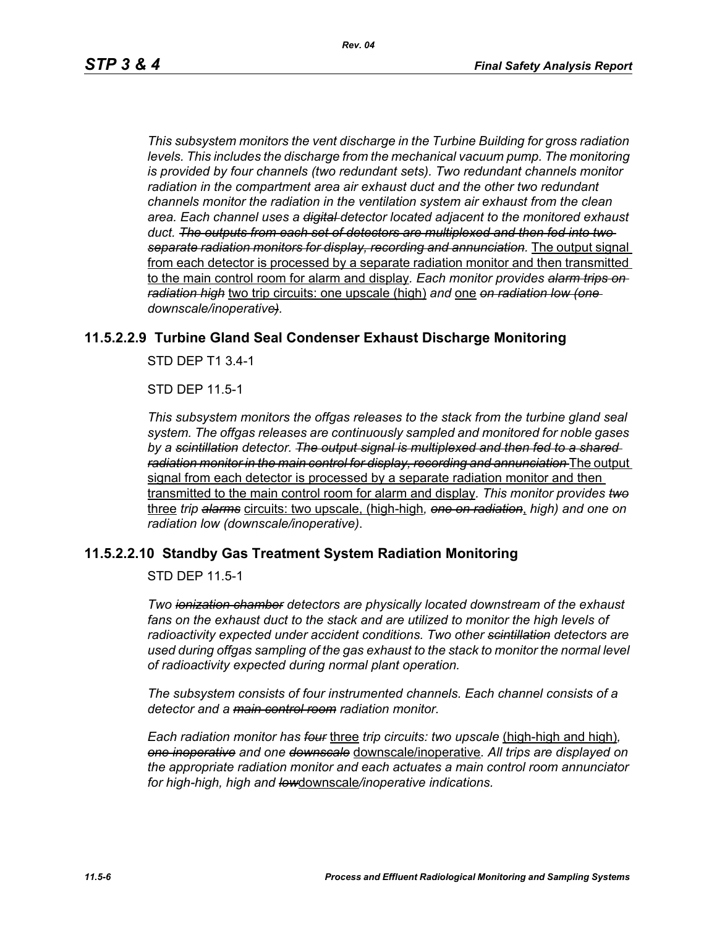*This subsystem monitors the vent discharge in the Turbine Building for gross radiation*  levels. This includes the discharge from the mechanical vacuum pump. The monitoring *is provided by four channels (two redundant sets). Two redundant channels monitor radiation in the compartment area air exhaust duct and the other two redundant channels monitor the radiation in the ventilation system air exhaust from the clean area. Each channel uses a digital detector located adjacent to the monitored exhaust duct. The outputs from each set of detectors are multiplexed and then fed into two separate radiation monitors for display, recording and annunciation.* The output signal from each detector is processed by a separate radiation monitor and then transmitted to the main control room for alarm and display*. Each monitor provides alarm trips on radiation high* two trip circuits: one upscale (high) *and* one *on radiation low (one downscale/inoperative).*

## **11.5.2.2.9 Turbine Gland Seal Condenser Exhaust Discharge Monitoring**

STD DEP T1 3.4-1

STD DEP 11.5-1

*This subsystem monitors the offgas releases to the stack from the turbine gland seal system. The offgas releases are continuously sampled and monitored for noble gases by a scintillation detector. The output signal is multiplexed and then fed to a shared radiation monitor in the main control for display, recording and annunciation* The output signal from each detector is processed by a separate radiation monitor and then transmitted to the main control room for alarm and display*. This monitor provides two* three *trip alarms* circuits: two upscale, (high-high*, one on radiation*, *high) and one on radiation low (downscale/inoperative)*.

## **11.5.2.2.10 Standby Gas Treatment System Radiation Monitoring**

STD DEP 11.5-1

*Two ionization chamber detectors are physically located downstream of the exhaust fans on the exhaust duct to the stack and are utilized to monitor the high levels of radioactivity expected under accident conditions. Two other scintillation detectors are used during offgas sampling of the gas exhaust to the stack to monitor the normal level of radioactivity expected during normal plant operation.*

*The subsystem consists of four instrumented channels. Each channel consists of a detector and a main control room radiation monitor.*

*Each radiation monitor has four* three *trip circuits: two upscale* (high-high and high)*, one inoperative and one downscale* downscale/inoperative*. All trips are displayed on the appropriate radiation monitor and each actuates a main control room annunciator for high-high, high and low*downscale*/inoperative indications.*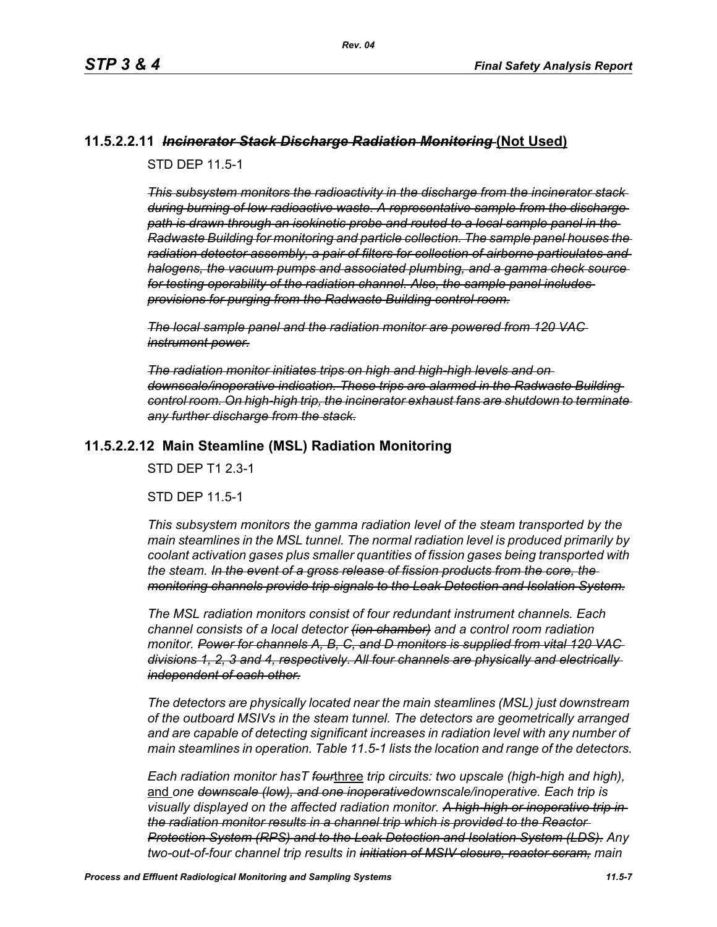# **11.5.2.2.11** *Incinerator Stack Discharge Radiation Monitoring* **(Not Used)**

STD DEP 11.5-1

*This subsystem monitors the radioactivity in the discharge from the incinerator stack during burning of low radioactive waste. A representative sample from the discharge path is drawn through an isokinetic probe and routed to a local sample panel in the Radwaste Building for monitoring and particle collection. The sample panel houses the radiation detector assembly, a pair of filters for collection of airborne particulates and halogens, the vacuum pumps and associated plumbing, and a gamma check source for testing operability of the radiation channel. Also, the sample panel includes provisions for purging from the Radwaste Building control room.*

*The local sample panel and the radiation monitor are powered from 120 VAC instrument power.*

*The radiation monitor initiates trips on high and high-high levels and on downscale/inoperative indication. These trips are alarmed in the Radwaste Building control room. On high-high trip, the incinerator exhaust fans are shutdown to terminate any further discharge from the stack.*

# **11.5.2.2.12 Main Steamline (MSL) Radiation Monitoring**

STD DEP T1 2.3-1

STD DEP 11.5-1

*This subsystem monitors the gamma radiation level of the steam transported by the main steamlines in the MSL tunnel. The normal radiation level is produced primarily by coolant activation gases plus smaller quantities of fission gases being transported with the steam. In the event of a gross release of fission products from the core, the monitoring channels provide trip signals to the Leak Detection and Isolation System.*

*The MSL radiation monitors consist of four redundant instrument channels. Each channel consists of a local detector (ion chamber) and a control room radiation monitor. Power for channels A, B, C, and D monitors is supplied from vital 120 VAC divisions 1, 2, 3 and 4, respectively. All four channels are physically and electrically independent of each other.*

*The detectors are physically located near the main steamlines (MSL) just downstream of the outboard MSIVs in the steam tunnel. The detectors are geometrically arranged and are capable of detecting significant increases in radiation level with any number of main steamlines in operation. Table 11.5-1 lists the location and range of the detectors.*

*Each radiation monitor hasT four*three *trip circuits: two upscale (high-high and high),*  and *one downscale (low), and one inoperativedownscale/inoperative. Each trip is visually displayed on the affected radiation monitor. A high-high or inoperative trip in the radiation monitor results in a channel trip which is provided to the Reactor Protection System (RPS) and to the Leak Detection and Isolation System (LDS). Any two-out-of-four channel trip results in initiation of MSIV closure, reactor scram, main*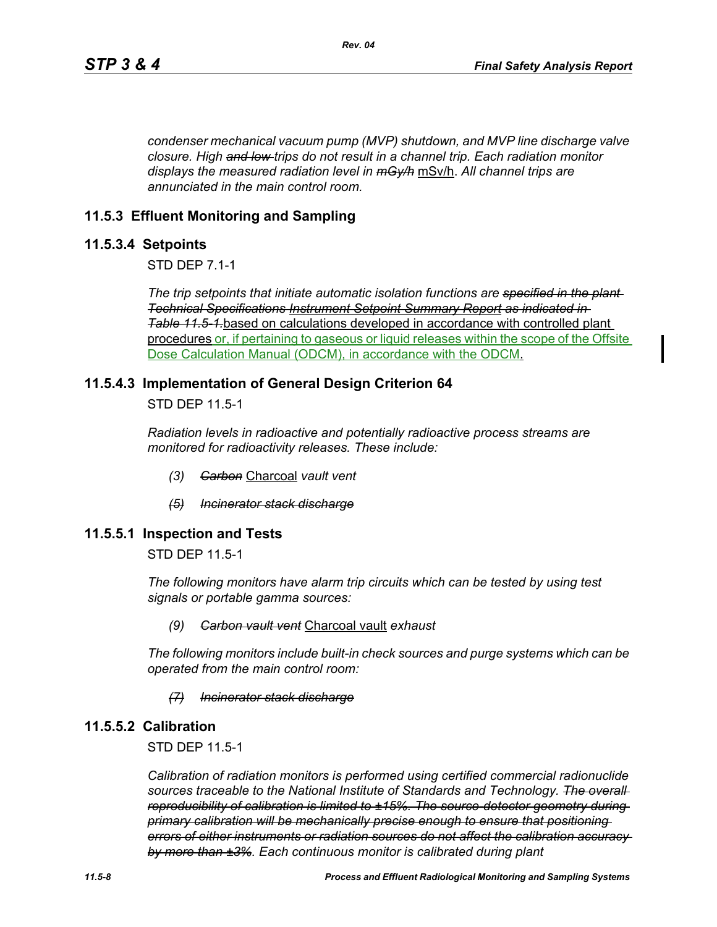*condenser mechanical vacuum pump (MVP) shutdown, and MVP line discharge valve closure. High and low trips do not result in a channel trip. Each radiation monitor displays the measured radiation level in mGy/h* mSv/h. *All channel trips are annunciated in the main control room.*

# **11.5.3 Effluent Monitoring and Sampling**

## **11.5.3.4 Setpoints**

STD DEP 7.1-1

*The trip setpoints that initiate automatic isolation functions are specified in the plant Technical Specifications Instrument Setpoint Summary Report as indicated in Table [11.5-1.](#page-12-0)*based on calculations developed in accordance with controlled plant procedures or, if pertaining to gaseous or liquid releases within the scope of the Offsite Dose Calculation Manual (ODCM), in accordance with the ODCM.

## **11.5.4.3 Implementation of General Design Criterion 64**

STD DEP 11.5-1

*Radiation levels in radioactive and potentially radioactive process streams are monitored for radioactivity releases. These include:*

- *(3) Carbon* Charcoal *vault vent*
- *(5) Incinerator stack discharge*

## **11.5.5.1 Inspection and Tests**

STD DEP 11.5-1

*The following monitors have alarm trip circuits which can be tested by using test signals or portable gamma sources:*

### *(9) Carbon vault vent* Charcoal vault *exhaust*

*The following monitors include built-in check sources and purge systems which can be operated from the main control room:*

### *(7) Incinerator stack discharge*

## **11.5.5.2 Calibration**

STD DEP 11.5-1

*Calibration of radiation monitors is performed using certified commercial radionuclide sources traceable to the National Institute of Standards and Technology. The overall reproducibility of calibration is limited to ±15%. The source-detector geometry during primary calibration will be mechanically precise enough to ensure that positioning errors of either instruments or radiation sources do not affect the calibration accuracy by more than ±3%. Each continuous monitor is calibrated during plant*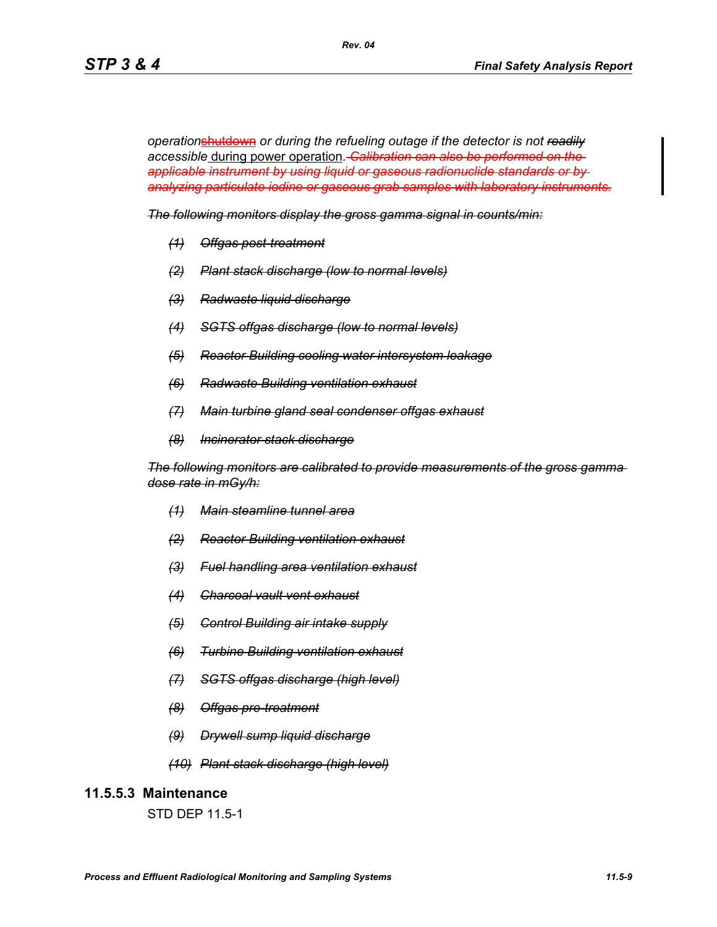*operation*shutdown *or during the refueling outage if the detector is not readily accessible* during power operation*. Calibration can also be performed on the applicable instrument by using liquid or gaseous radionuclide standards or by analyzing particulate iodine or gaseous grab samples with laboratory instruments.*

*Rev. 04*

*The following monitors display the gross gamma signal in counts/min:*

- *(1) Offgas post-treatment*
- *(2) Plant stack discharge (low to normal levels)*
- *(3) Radwaste liquid discharge*
- *(4) SGTS offgas discharge (low to normal levels)*
- *(5) Reactor Building cooling water intersystem leakage*
- *(6) Radwaste Building ventilation exhaust*
- *(7) Main turbine gland seal condenser offgas exhaust*
- *(8) Incinerator stack discharge*

*The following monitors are calibrated to provide measurements of the gross gamma dose rate in mGy/h:*

- *(1) Main steamline tunnel area*
- *(2) Reactor Building ventilation exhaust*
- *(3) Fuel handling area ventilation exhaust*
- *(4) Charcoal vault vent exhaust*
- *(5) Control Building air intake supply*
- *(6) Turbine Building ventilation exhaust*
- *(7) SGTS offgas discharge (high level)*
- *(8) Offgas pre-treatment*
- *(9) Drywell sump liquid discharge*
- *(10) Plant stack discharge (high level)*

### **11.5.5.3 Maintenance**

STD DEP 11.5-1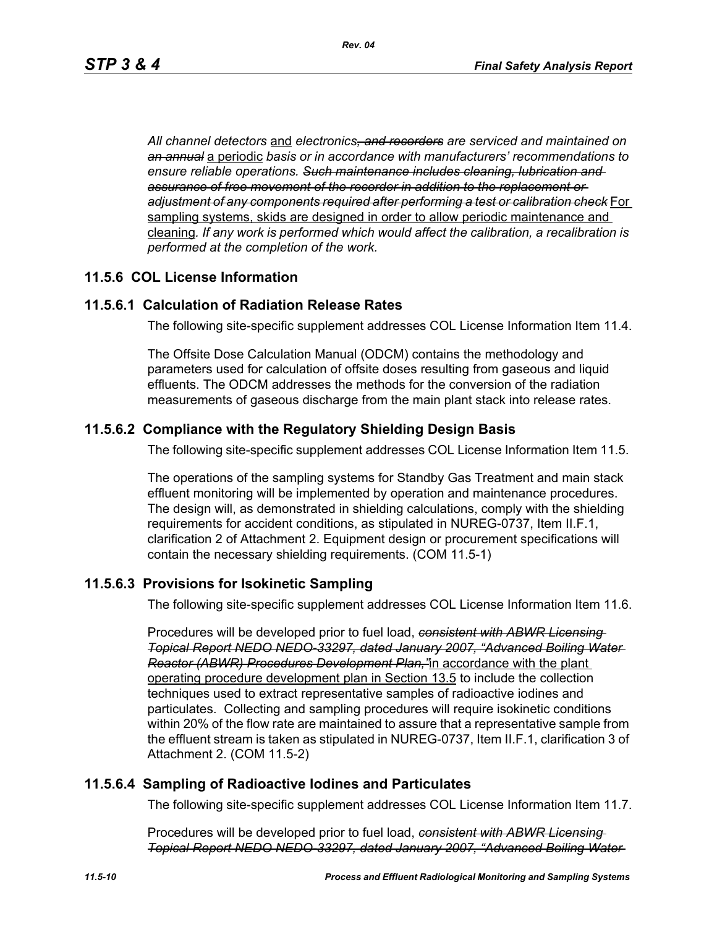*All channel detectors* and *electronics, and recorders are serviced and maintained on an annual* a periodic *basis or in accordance with manufacturers' recommendations to ensure reliable operations. Such maintenance includes cleaning, lubrication and assurance of free movement of the recorder in addition to the replacement or adjustment of any components required after performing a test or calibration check* For sampling systems, skids are designed in order to allow periodic maintenance and cleaning*. If any work is performed which would affect the calibration, a recalibration is performed at the completion of the work.*

# **11.5.6 COL License Information**

# **11.5.6.1 Calculation of Radiation Release Rates**

The following site-specific supplement addresses COL License Information Item 11.4.

The Offsite Dose Calculation Manual (ODCM) contains the methodology and parameters used for calculation of offsite doses resulting from gaseous and liquid effluents. The ODCM addresses the methods for the conversion of the radiation measurements of gaseous discharge from the main plant stack into release rates.

# **11.5.6.2 Compliance with the Regulatory Shielding Design Basis**

The following site-specific supplement addresses COL License Information Item 11.5.

The operations of the sampling systems for Standby Gas Treatment and main stack effluent monitoring will be implemented by operation and maintenance procedures. The design will, as demonstrated in shielding calculations, comply with the shielding requirements for accident conditions, as stipulated in NUREG-0737, Item II.F.1, clarification 2 of Attachment 2. Equipment design or procurement specifications will contain the necessary shielding requirements. (COM 11.5-1)

# **11.5.6.3 Provisions for Isokinetic Sampling**

The following site-specific supplement addresses COL License Information Item 11.6.

Procedures will be developed prior to fuel load, *consistent with ABWR Licensing Topical Report NEDO NEDO-33297, dated January 2007, "Advanced Boiling Water Reactor (ABWR) Procedures Development Plan,"*in accordance with the plant operating procedure development plan in Section 13.5 to include the collection techniques used to extract representative samples of radioactive iodines and particulates. Collecting and sampling procedures will require isokinetic conditions within 20% of the flow rate are maintained to assure that a representative sample from the effluent stream is taken as stipulated in NUREG-0737, Item II.F.1, clarification 3 of Attachment 2. (COM 11.5-2)

# **11.5.6.4 Sampling of Radioactive Iodines and Particulates**

The following site-specific supplement addresses COL License Information Item 11.7.

Procedures will be developed prior to fuel load, *consistent with ABWR Licensing Topical Report NEDO NEDO-33297, dated January 2007, "Advanced Boiling Water*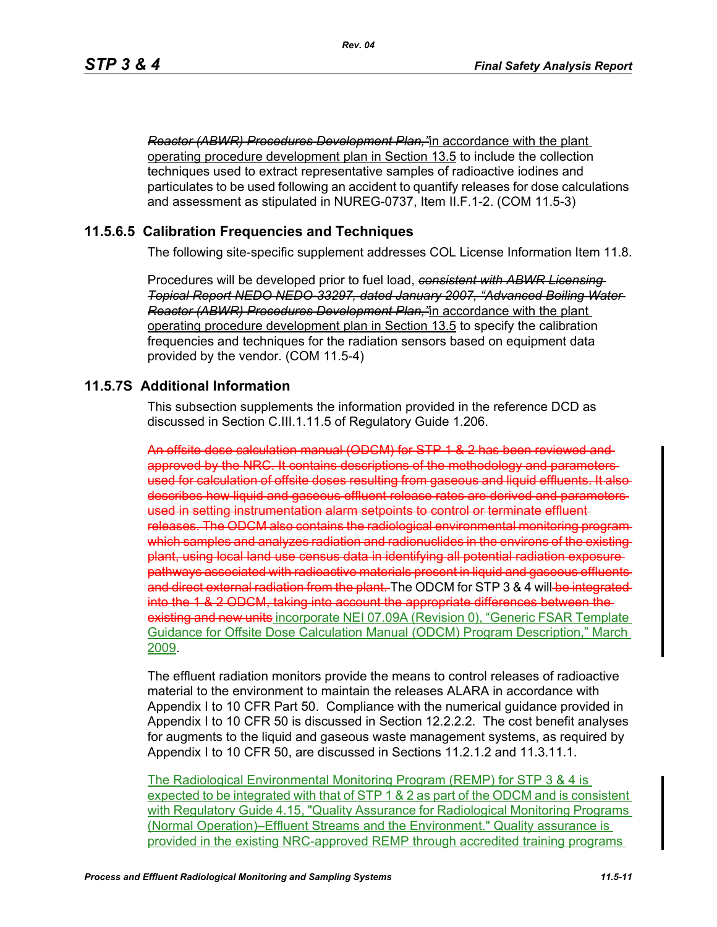*Reactor (ABWR) Procedures Development Plan,"*in accordance with the plant operating procedure development plan in Section 13.5 to include the collection techniques used to extract representative samples of radioactive iodines and particulates to be used following an accident to quantify releases for dose calculations and assessment as stipulated in NUREG-0737, Item II.F.1-2. (COM 11.5-3)

# **11.5.6.5 Calibration Frequencies and Techniques**

The following site-specific supplement addresses COL License Information Item 11.8.

Procedures will be developed prior to fuel load, *consistent with ABWR Licensing Topical Report NEDO NEDO-33297, dated January 2007, "Advanced Boiling Water Reactor (ABWR) Procedures Development Plan,"*in accordance with the plant operating procedure development plan in Section 13.5 to specify the calibration frequencies and techniques for the radiation sensors based on equipment data provided by the vendor. (COM 11.5-4)

# **11.5.7S Additional Information**

This subsection supplements the information provided in the reference DCD as discussed in Section C.III.1.11.5 of Regulatory Guide 1.206.

An offsite dose calculation manual (ODCM) for STP 1 & 2 has been reviewed and approved by the NRC. It contains descriptions of the methodology and parameters used for calculation of offsite doses resulting from gaseous and liquid effluents. It also describes how liquid and gaseous effluent release rates are derived and parameters used in setting instrumentation alarm setpoints to control or terminate effluent releases. The ODCM also contains the radiological environmental monitoring program which samples and analyzes radiation and radionuclides in the environs of the existing plant, using local land use census data in identifying all potential radiation exposure pathways associated with radioactive materials present in liquid and gaseous effluents and direct external radiation from the plant. The ODCM for STP 3 & 4 will be integrated into the 1 & 2 ODCM, taking into account the appropriate differences between the existing and new unite incorporate NEI 07.09A (Revision 0), "Generic FSAR Template Guidance for Offsite Dose Calculation Manual (ODCM) Program Description," March 2009.

The effluent radiation monitors provide the means to control releases of radioactive material to the environment to maintain the releases ALARA in accordance with Appendix I to 10 CFR Part 50. Compliance with the numerical guidance provided in Appendix I to 10 CFR 50 is discussed in Section 12.2.2.2. The cost benefit analyses for augments to the liquid and gaseous waste management systems, as required by Appendix I to 10 CFR 50, are discussed in Sections 11.2.1.2 and 11.3.11.1.

The Radiological Environmental Monitoring Program (REMP) for STP 3 & 4 is expected to be integrated with that of STP 1 & 2 as part of the ODCM and is consistent with Regulatory Guide 4.15, "Quality Assurance for Radiological Monitoring Programs (Normal Operation)–Effluent Streams and the Environment." Quality assurance is provided in the existing NRC-approved REMP through accredited training programs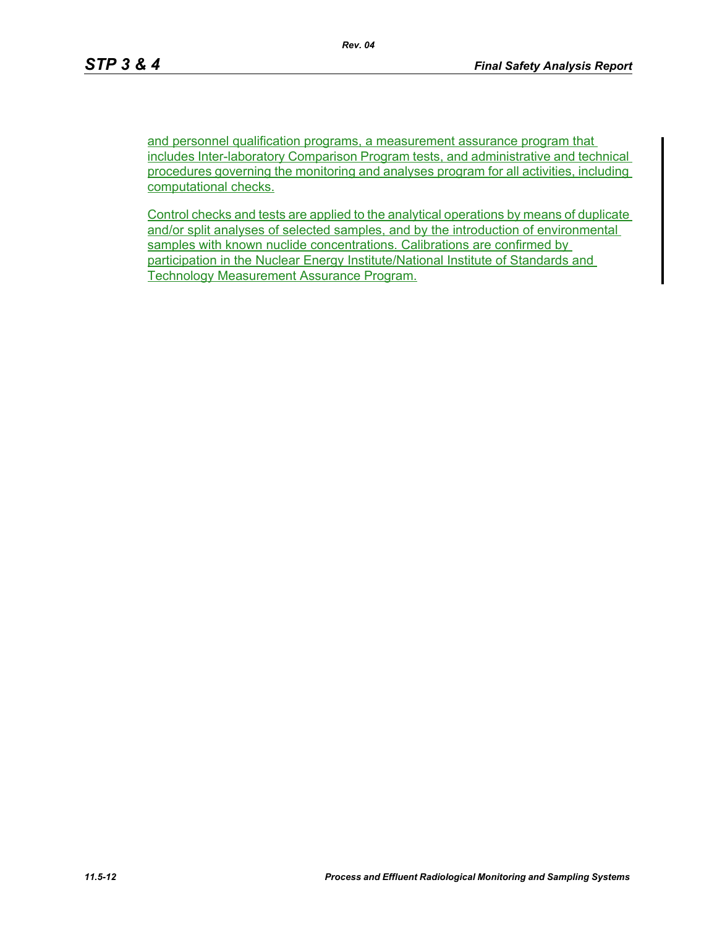and personnel qualification programs, a measurement assurance program that includes Inter-laboratory Comparison Program tests, and administrative and technical procedures governing the monitoring and analyses program for all activities, including computational checks.

Control checks and tests are applied to the analytical operations by means of duplicate and/or split analyses of selected samples, and by the introduction of environmental samples with known nuclide concentrations. Calibrations are confirmed by participation in the Nuclear Energy Institute/National Institute of Standards and Technology Measurement Assurance Program.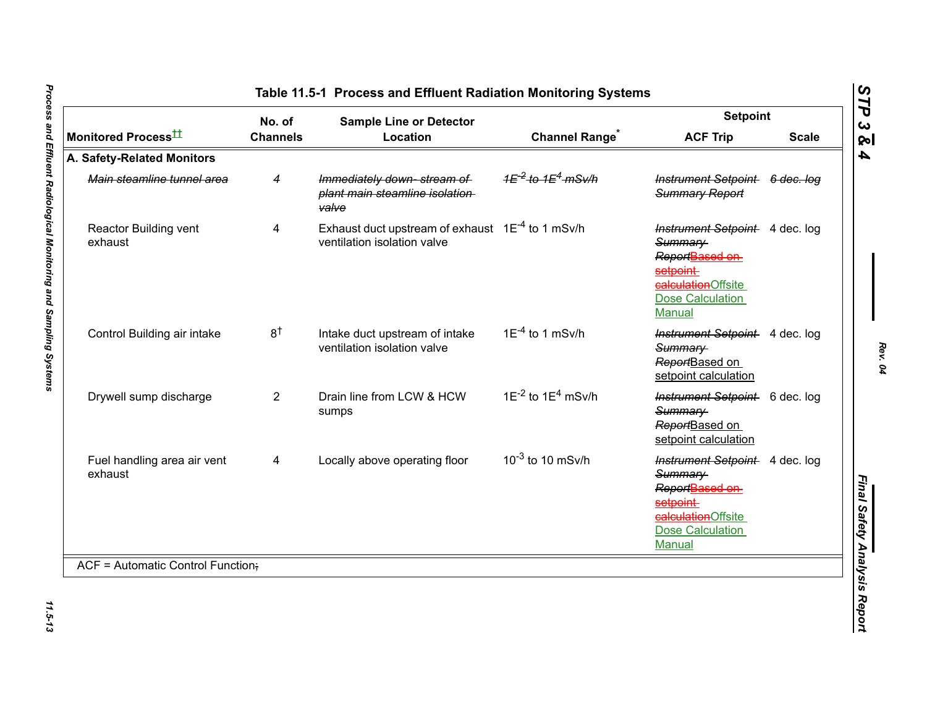|                                        | No. of          | <b>Sample Line or Detector</b>                                                       |                                  | <b>Setpoint</b>                                                                                                                            |              |
|----------------------------------------|-----------------|--------------------------------------------------------------------------------------|----------------------------------|--------------------------------------------------------------------------------------------------------------------------------------------|--------------|
| Monitored Process <sup>±±</sup>        | <b>Channels</b> | Location                                                                             | <b>Channel Range<sup>®</sup></b> | <b>ACF Trip</b>                                                                                                                            | <b>Scale</b> |
| A. Safety-Related Monitors             |                 |                                                                                      |                                  |                                                                                                                                            |              |
| Main steamline tunnel area             | 4               | Immediately down-stream of<br>plant main steamline isolation<br>valve                | $4E^{-2}$ to $4E^{4}$ mSv/h      | Instrument Setpoint 6 dec. log<br><b>Summary Report</b>                                                                                    |              |
| Reactor Building vent<br>exhaust       | 4               | Exhaust duct upstream of exhaust $1E^{-4}$ to 1 mSv/h<br>ventilation isolation valve |                                  | Instrument Setpoint 4 dec. log<br>Summary<br>Report <b>Based on</b><br>setpoint<br>calculationOffsite<br>Dose Calculation<br><b>Manual</b> |              |
| Control Building air intake            | 8 <sup>†</sup>  | Intake duct upstream of intake<br>ventilation isolation valve                        | $1E^{-4}$ to 1 mSv/h             | Instrument Setpoint 4 dec. log<br>Summary<br>ReportBased on<br>setpoint calculation                                                        |              |
| Drywell sump discharge                 | $\overline{2}$  | Drain line from LCW & HCW<br>sumps                                                   | $1E^{-2}$ to $1E^{4}$ mSv/h      | Instrument Setpoint 6 dec. log<br>Summary<br>ReportBased on<br>setpoint calculation                                                        |              |
| Fuel handling area air vent<br>exhaust | 4               | Locally above operating floor                                                        | $10^{-3}$ to 10 mSv/h            | Instrument Setpoint 4 dec. log<br>Summary<br>ReportBased on<br>setpoint-<br>ealculationOffsite<br><b>Dose Calculation</b><br>Manual        |              |
| ACF = Automatic Control Function;      |                 |                                                                                      |                                  |                                                                                                                                            |              |

*Rev. 04*

<span id="page-12-0"></span>11.5-13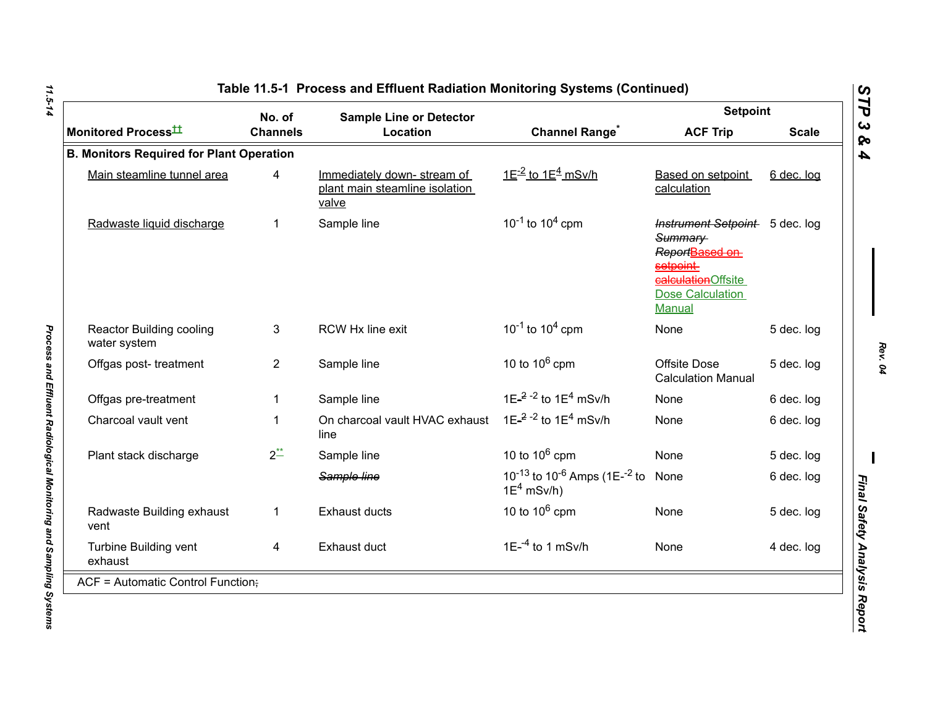|                                                 | No. of          | <b>Sample Line or Detector</b>                                        |                                                                                   | <b>Setpoint</b>                                                                                                                            |              |
|-------------------------------------------------|-----------------|-----------------------------------------------------------------------|-----------------------------------------------------------------------------------|--------------------------------------------------------------------------------------------------------------------------------------------|--------------|
| Monitored Process <sup>tt</sup>                 | <b>Channels</b> | Location                                                              | <b>Channel Range<sup>*</sup></b>                                                  | <b>ACF Trip</b>                                                                                                                            | <b>Scale</b> |
| <b>B. Monitors Required for Plant Operation</b> |                 |                                                                       |                                                                                   |                                                                                                                                            |              |
| Main steamline tunnel area                      | 4               | Immediately down-stream of<br>plant main steamline isolation<br>valve | $1E^{-2}$ to $1E^{4}$ mSv/h                                                       | Based on setpoint<br>calculation                                                                                                           | 6 dec. log   |
| Radwaste liquid discharge                       | 1               | Sample line                                                           | $10^{-1}$ to $10^{4}$ cpm                                                         | Instrument Setpoint 5 dec. log<br>Summary<br>ReportBased on<br>setpoint-<br>calculationOffsite<br><b>Dose Calculation</b><br><b>Manual</b> |              |
| <b>Reactor Building cooling</b><br>water system | 3               | RCW Hx line exit                                                      | $10^{-1}$ to $10^{4}$ cpm                                                         | None                                                                                                                                       | 5 dec. log   |
| Offgas post-treatment                           | $\overline{2}$  | Sample line                                                           | 10 to $10^6$ cpm                                                                  | <b>Offsite Dose</b><br><b>Calculation Manual</b>                                                                                           | 5 dec. log   |
| Offgas pre-treatment                            | 1               | Sample line                                                           | 1E $^{-2}$ - <sup>2</sup> to 1E <sup>4</sup> mSv/h                                | None                                                                                                                                       | 6 dec. log   |
| Charcoal vault vent                             | 1               | On charcoal vault HVAC exhaust<br>line                                | 1E- $^{2}$ -2 to 1E <sup>4</sup> mSv/h                                            | None                                                                                                                                       | 6 dec. log   |
| Plant stack discharge                           | $2^{**}$        | Sample line                                                           | 10 to $10^6$ cpm                                                                  | <b>None</b>                                                                                                                                | 5 dec. log   |
|                                                 |                 | Sample line                                                           | 10 <sup>-13</sup> to 10 <sup>-6</sup> Amps (1E- <sup>-2</sup> to<br>$1E^4$ mSv/h) | None                                                                                                                                       | 6 dec. log   |
| Radwaste Building exhaust<br>vent               | $\mathbf{1}$    | <b>Exhaust ducts</b>                                                  | 10 to $10^6$ cpm                                                                  | None                                                                                                                                       | 5 dec. log   |
| Turbine Building vent<br>exhaust                | 4               | Exhaust duct                                                          | $1E^{-4}$ to 1 mSv/h                                                              | None                                                                                                                                       | 4 dec. log   |
| ACF = Automatic Control Function;               |                 |                                                                       |                                                                                   |                                                                                                                                            |              |

11.5-14

*STP 3 & 4*

*Rev. 04*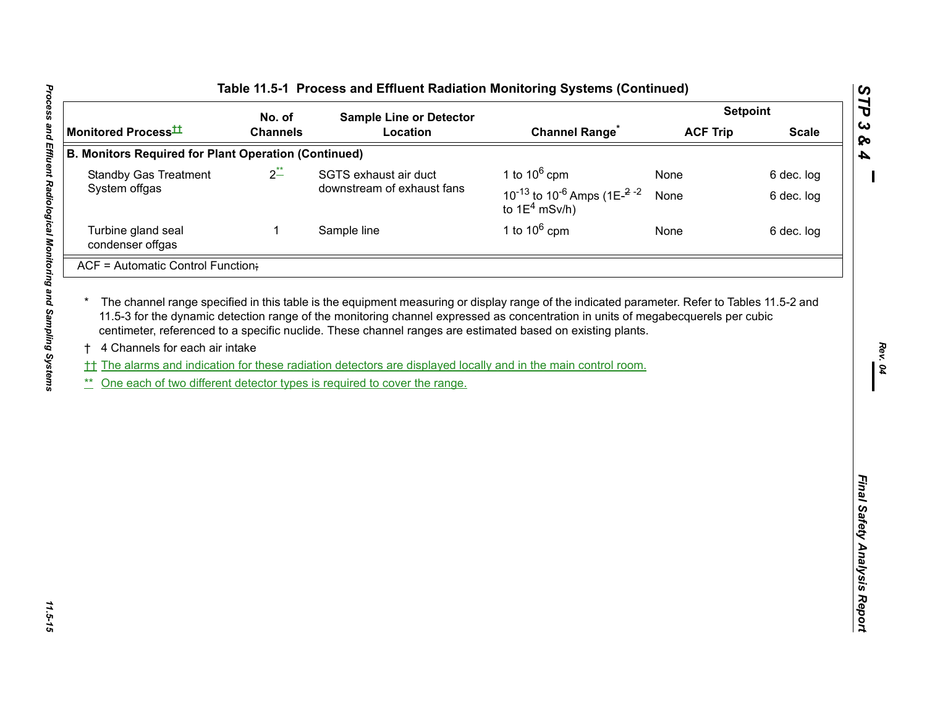| Monitored Process <sup>tt</sup><br><b>B. Monitors Required for Plant Operation (Continued)</b><br><b>Standby Gas Treatment</b><br>System offgas | No. of<br><b>Channels</b> | <b>Sample Line or Detector</b><br>Location | <b>Channel Range<sup>*</sup></b>                                                                            | <b>ACF Trip</b> | <b>Scale</b> |
|-------------------------------------------------------------------------------------------------------------------------------------------------|---------------------------|--------------------------------------------|-------------------------------------------------------------------------------------------------------------|-----------------|--------------|
|                                                                                                                                                 |                           |                                            |                                                                                                             |                 |              |
|                                                                                                                                                 |                           |                                            |                                                                                                             |                 |              |
|                                                                                                                                                 | $2^{**}$                  | SGTS exhaust air duct                      | 1 to $10^6$ cpm                                                                                             | None            | 6 dec. log   |
|                                                                                                                                                 |                           | downstream of exhaust fans                 | 10 <sup>-13</sup> to 10 <sup>-6</sup> Amps (1E <sup><math>-2</math></sup> <sup>-2</sup><br>to $1E^4$ mSv/h) | None            | 6 dec. log   |
| Turbine gland seal<br>condenser offgas                                                                                                          | 1                         | Sample line                                | 1 to $10^6$ cpm                                                                                             | None            | 6 dec. log   |
| ACF = Automatic Control Function;                                                                                                               |                           |                                            |                                                                                                             |                 |              |
|                                                                                                                                                 |                           |                                            |                                                                                                             |                 |              |

*Rev. 04*

*STP 3 & 4*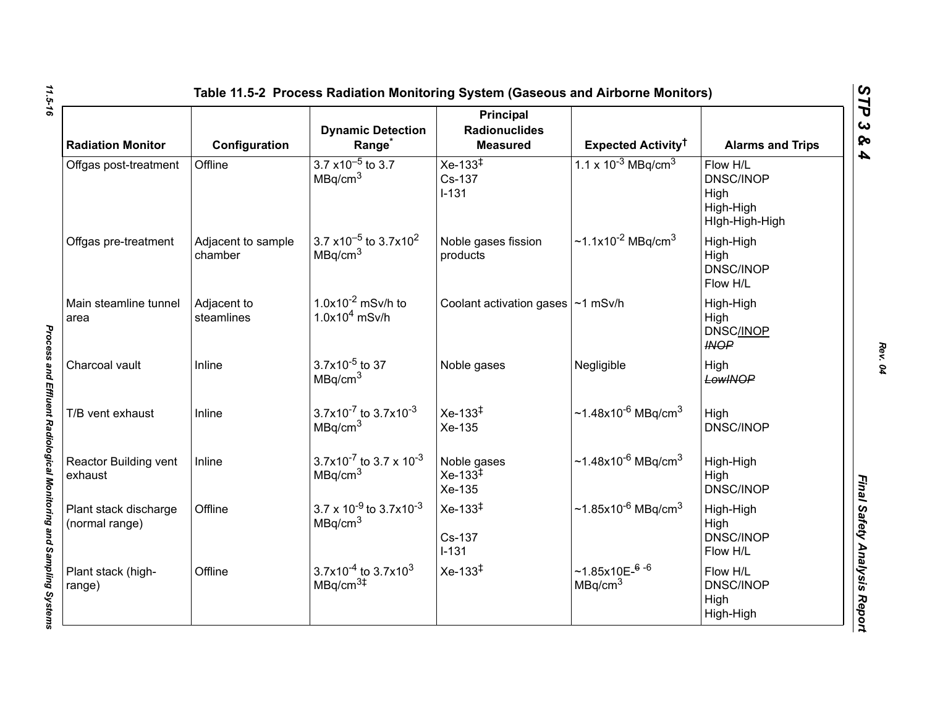| <b>Radiation Monitor</b>                | Configuration                 | <b>Dynamic Detection</b><br>Range <sup>*</sup>                                       | <b>Principal</b><br><b>Radionuclides</b><br><b>Measured</b> | Expected Activity <sup>†</sup>                     | <b>Alarms and Trips</b>                                             |
|-----------------------------------------|-------------------------------|--------------------------------------------------------------------------------------|-------------------------------------------------------------|----------------------------------------------------|---------------------------------------------------------------------|
| Offgas post-treatment                   | Offline                       | $3.7 \times 10^{-5}$ to 3.7<br>MBq/cm <sup>3</sup>                                   | $Xe-133^{\ddagger}$<br>Cs-137<br>$I-131$                    | 1.1 x $10^{-3}$ MBq/cm <sup>3</sup>                | Flow H/L<br><b>DNSC/INOP</b><br>High<br>High-High<br>High-High-High |
| Offgas pre-treatment                    | Adjacent to sample<br>chamber | 3.7 $\times$ 10 <sup>-5</sup> to 3.7 $\times$ 10 <sup>2</sup><br>MBq/cm <sup>3</sup> | Noble gases fission<br>products                             | ~1.1x10 <sup>-2</sup> MBq/cm <sup>3</sup>          | High-High<br>High<br><b>DNSC/INOP</b><br>Flow H/L                   |
| Main steamline tunnel<br>area           | Adjacent to<br>steamlines     | $1.0x10^{-2}$ mSv/h to<br>$1.0x104$ mSv/h                                            | Coolant activation gases   ~1 mSv/h                         |                                                    | High-High<br>High<br><b>DNSC/INOP</b><br><b>INOP</b>                |
| Charcoal vault                          | Inline                        | $3.7x10^{-5}$ to 37<br>MBq/cm <sup>3</sup>                                           | Noble gases                                                 | Negligible                                         | High<br>LowINOP                                                     |
| T/B vent exhaust                        | Inline                        | 3.7x10 <sup>-7</sup> to 3.7x10 <sup>-3</sup><br>MBq/cm <sup>3</sup>                  | $Xe-133^{1}$<br>Xe-135                                      | $~1.48x10^{-6}$ MBg/cm <sup>3</sup>                | High<br><b>DNSC/INOP</b>                                            |
| Reactor Building vent<br>exhaust        | Inline                        | 3.7x10 <sup>-7</sup> to 3.7 x 10 <sup>-3</sup><br>MBq/cm <sup>3</sup>                | Noble gases<br>$Xe-133^{\frac{1}{4}}$<br>Xe-135             | ~1.48x10 <sup>-6</sup> MBq/cm <sup>3</sup>         | High-High<br>High<br><b>DNSC/INOP</b>                               |
| Plant stack discharge<br>(normal range) | Offline                       | $3.7 \times 10^{-9}$ to $3.7 \times 10^{-3}$<br>MBq/cm <sup>3</sup>                  | $Xe-133^{\ddagger}$<br>Cs-137<br>$I-131$                    | ~1.85x10 <sup>-6</sup> MBq/cm <sup>3</sup>         | High-High<br>High<br><b>DNSC/INOP</b><br>Flow H/L                   |
| Plant stack (high-<br>range)            | Offline                       | $3.7x10^{-4}$ to 3.7x10 <sup>3</sup><br>MBq/cm <sup>3#</sup>                         | $Xe-133^{\ddagger}$                                         | $~1.85x10E-$ <sup>6-6</sup><br>MBq/cm <sup>3</sup> | Flow H/L<br><b>DNSC/INOP</b><br>High<br>High-High                   |

*Rev. 04*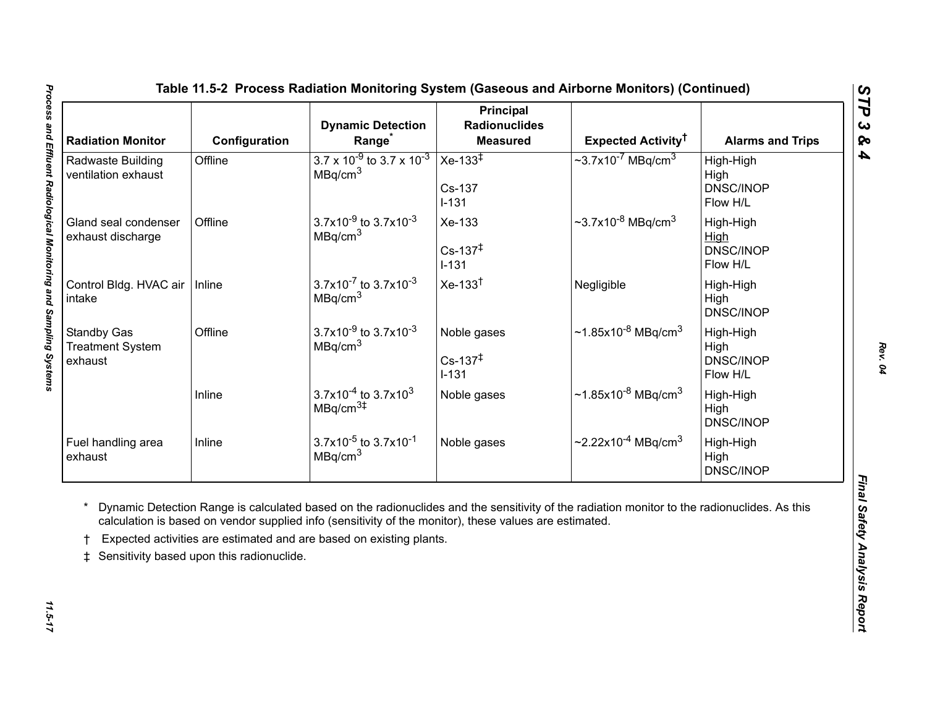<span id="page-16-0"></span>

| <b>Radiation Monitor</b>                                 | Configuration                             | <b>Dynamic Detection</b><br>Range <sup>*</sup>                                                                                                                                | <b>Principal</b><br><b>Radionuclides</b><br><b>Measured</b> | Expected Activity <sup>†</sup>                                                                                                              | <b>Alarms and Trips</b>                    |
|----------------------------------------------------------|-------------------------------------------|-------------------------------------------------------------------------------------------------------------------------------------------------------------------------------|-------------------------------------------------------------|---------------------------------------------------------------------------------------------------------------------------------------------|--------------------------------------------|
| Radwaste Building<br>ventilation exhaust                 | Offline                                   | $3.7 \times 10^{-9}$ to 3.7 x 10 <sup>-3</sup><br>MBq/cm <sup>3</sup>                                                                                                         | Xe-133 $\overline{+}$<br>Cs-137<br>$I-131$                  | $\sim$ 3.7x10 <sup>-7</sup> MBq/cm <sup>3</sup>                                                                                             | High-High<br>High<br>DNSC/INOP<br>Flow H/L |
| Gland seal condenser<br>exhaust discharge                | Offline                                   | 3.7x10 <sup>-9</sup> to 3.7x10 <sup>-3</sup><br>MBq/cm <sup>3</sup>                                                                                                           | Xe-133<br>$Cs - 137^{\ddagger}$<br>$I-131$                  | $\sim$ 3.7x10 <sup>-8</sup> MBq/cm <sup>3</sup>                                                                                             | High-High<br>High<br>DNSC/INOP<br>Flow H/L |
| Control Bldg. HVAC air<br>intake                         | Inline                                    | $3.7x10^{-7}$ to $3.7x10^{-3}$<br>MBq/cm <sup>3</sup>                                                                                                                         | $Xe-133†$                                                   | Negligible                                                                                                                                  | High-High<br>High<br>DNSC/INOP             |
| <b>Standby Gas</b><br><b>Treatment System</b><br>exhaust | Offline                                   | $3.7x10^{-9}$ to $3.7x10^{-3}$<br>MBq/cm <sup>3</sup>                                                                                                                         | Noble gases<br>$Cs - 137^{\ddagger}$<br>$I-131$             | $\sim$ 1.85x10 <sup>-8</sup> MBq/cm <sup>3</sup>                                                                                            | High-High<br>High<br>DNSC/INOP<br>Flow H/L |
|                                                          | Inline                                    | $3.7x10^{-4}$ to 3.7x10 <sup>3</sup><br>MBq/cm <sup>3#</sup>                                                                                                                  | Noble gases                                                 | $\sim$ 1.85x10 <sup>-8</sup> MBq/cm <sup>3</sup>                                                                                            | High-High<br>High<br>DNSC/INOP             |
| Fuel handling area<br>exhaust                            | Inline                                    | $3.7x10^{-5}$ to $3.7x10^{-1}$<br>MBq/cm <sup>3</sup>                                                                                                                         | Noble gases                                                 | $\sim$ 2.22x10 <sup>-4</sup> MBq/cm <sup>3</sup>                                                                                            | High-High<br>High<br>DNSC/INOP             |
| $\ddagger$                                               | Sensitivity based upon this radionuclide. | calculation is based on vendor supplied info (sensitivity of the monitor), these values are estimated.<br>Expected activities are estimated and are based on existing plants. |                                                             | Dynamic Detection Range is calculated based on the radionuclides and the sensitivity of the radiation monitor to the radionuclides. As this |                                            |